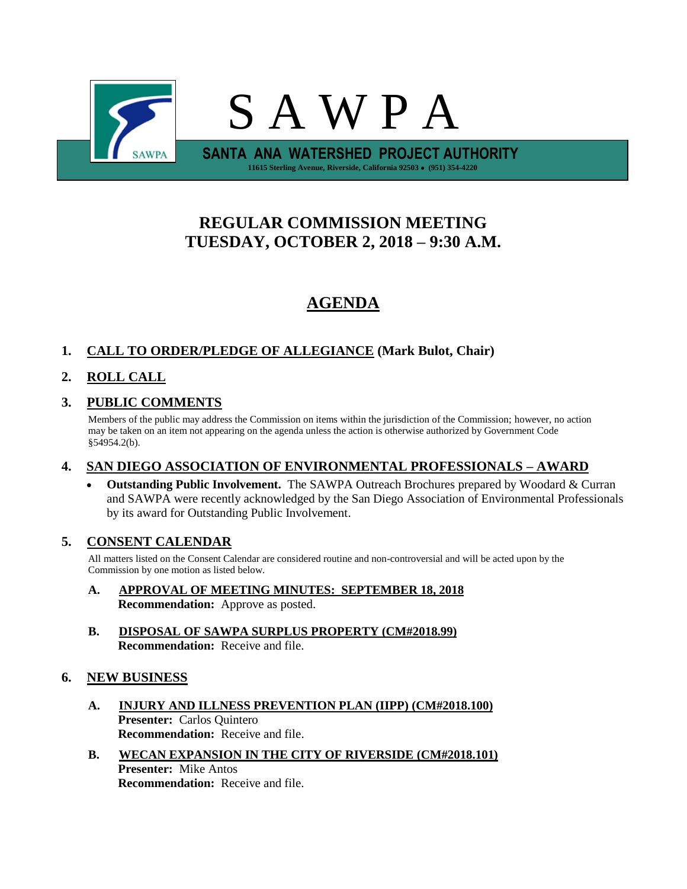

# **REGULAR COMMISSION MEETING TUESDAY, OCTOBER 2, 2018 – 9:30 A.M.**

# **AGENDA**

## **1. CALL TO ORDER/PLEDGE OF ALLEGIANCE (Mark Bulot, Chair)**

## **2. ROLL CALL**

## **3. PUBLIC COMMENTS**

Members of the public may address the Commission on items within the jurisdiction of the Commission; however, no action may be taken on an item not appearing on the agenda unless the action is otherwise authorized by Government Code §54954.2(b).

### **4. SAN DIEGO ASSOCIATION OF ENVIRONMENTAL PROFESSIONALS – AWARD**

• **Outstanding Public Involvement.** The SAWPA Outreach Brochures prepared by Woodard & Curran and SAWPA were recently acknowledged by the San Diego Association of Environmental Professionals by its award for Outstanding Public Involvement.

### **5. CONSENT CALENDAR**

All matters listed on the Consent Calendar are considered routine and non-controversial and will be acted upon by the Commission by one motion as listed below.

- **A. APPROVAL OF MEETING MINUTES: SEPTEMBER 18, 2018 Recommendation:** Approve as posted.
- **B. DISPOSAL OF SAWPA SURPLUS PROPERTY (CM#2018.99) Recommendation:** Receive and file.

### **6. NEW BUSINESS**

- **A. INJURY AND ILLNESS PREVENTION PLAN (IIPP) (CM#2018.100) Presenter:** Carlos Quintero **Recommendation:** Receive and file.
- **B. WECAN EXPANSION IN THE CITY OF RIVERSIDE (CM#2018.101) Presenter:** Mike Antos **Recommendation:** Receive and file.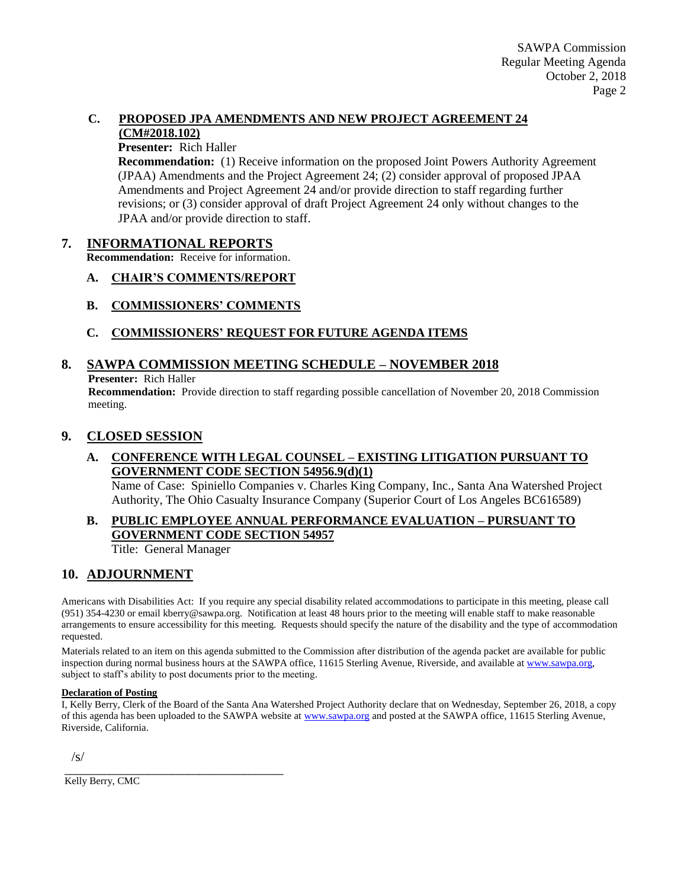#### **C. PROPOSED JPA AMENDMENTS AND NEW PROJECT AGREEMENT 24 (CM#2018.102)**

#### **Presenter:** Rich Haller

**Recommendation:** (1) Receive information on the proposed Joint Powers Authority Agreement (JPAA) Amendments and the Project Agreement 24; (2) consider approval of proposed JPAA Amendments and Project Agreement 24 and/or provide direction to staff regarding further revisions; or (3) consider approval of draft Project Agreement 24 only without changes to the JPAA and/or provide direction to staff.

#### **7. INFORMATIONAL REPORTS**

**Recommendation:** Receive for information.

#### **A. CHAIR'S COMMENTS/REPORT**

**B. COMMISSIONERS' COMMENTS**

### **C. COMMISSIONERS' REQUEST FOR FUTURE AGENDA ITEMS**

### **8. SAWPA COMMISSION MEETING SCHEDULE – NOVEMBER 2018**

**Presenter:** Rich Haller

**Recommendation:** Provide direction to staff regarding possible cancellation of November 20, 2018 Commission meeting.

### **9. CLOSED SESSION**

### **A. CONFERENCE WITH LEGAL COUNSEL – EXISTING LITIGATION PURSUANT TO GOVERNMENT CODE SECTION 54956.9(d)(1)**

Name of Case: Spiniello Companies v. Charles King Company, Inc., Santa Ana Watershed Project Authority, The Ohio Casualty Insurance Company (Superior Court of Los Angeles BC616589)

### **B. PUBLIC EMPLOYEE ANNUAL PERFORMANCE EVALUATION – PURSUANT TO GOVERNMENT CODE SECTION 54957**

Title: General Manager

\_\_\_\_\_\_\_\_\_\_\_\_\_\_\_\_\_\_\_\_\_\_\_\_\_\_\_\_\_\_\_\_\_\_\_\_\_\_\_

### **10. ADJOURNMENT**

Americans with Disabilities Act: If you require any special disability related accommodations to participate in this meeting, please call (951) 354-4230 or email kberry@sawpa.org. Notification at least 48 hours prior to the meeting will enable staff to make reasonable arrangements to ensure accessibility for this meeting. Requests should specify the nature of the disability and the type of accommodation requested.

Materials related to an item on this agenda submitted to the Commission after distribution of the agenda packet are available for public inspection during normal business hours at the SAWPA office, 11615 Sterling Avenue, Riverside, and available a[t www.sawpa.org,](http://www.sawpa.org/) subject to staff's ability to post documents prior to the meeting.

#### **Declaration of Posting**

I, Kelly Berry, Clerk of the Board of the Santa Ana Watershed Project Authority declare that on Wednesday, September 26, 2018, a copy of this agenda has been uploaded to the SAWPA website at [www.sawpa.org](http://www.sawpa.org/) and posted at the SAWPA office, 11615 Sterling Avenue, Riverside, California.

/s/

Kelly Berry, CMC